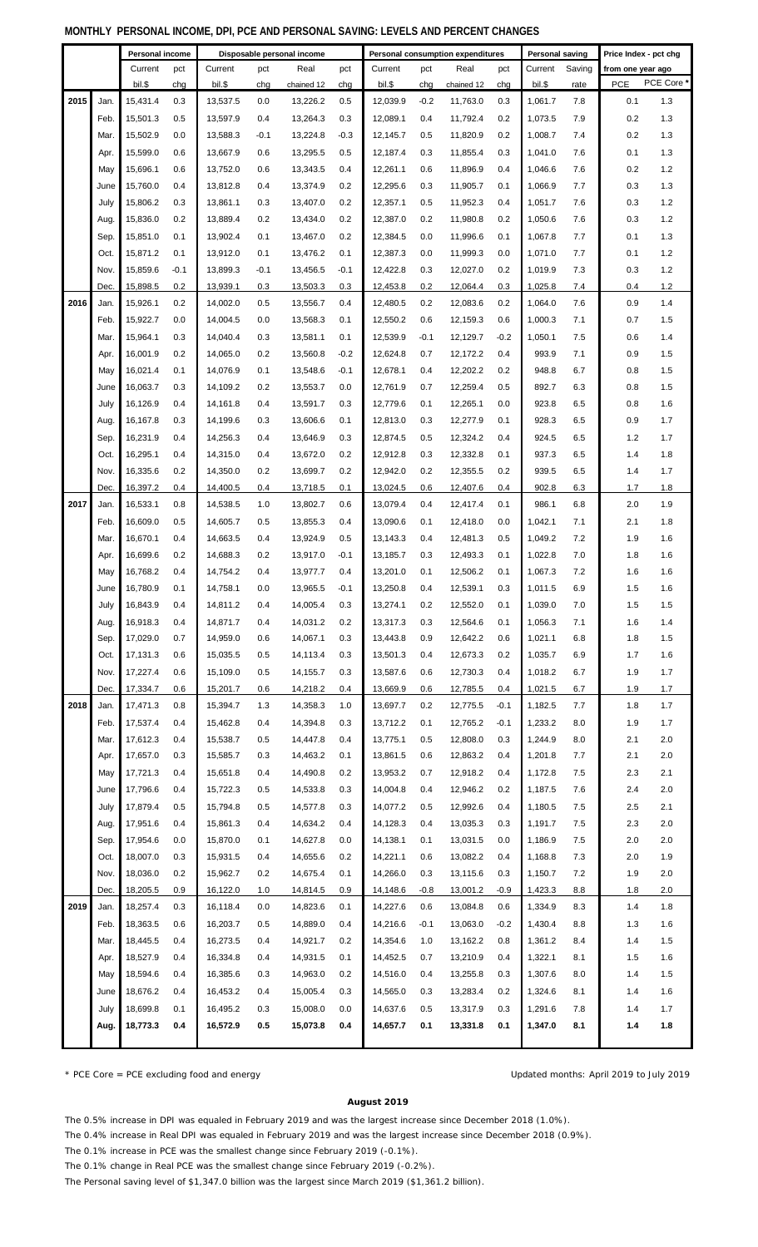|      |      |                   |        | <b>MONTHET TEROORIVE INOONIE, DIT, I OE AND I EROORIVE ON MINO. EEVEED AND I EROENT OHANOED</b> |        | Personal consumption expenditures |         |          |        |            |        |                 |        |                       |            |
|------|------|-------------------|--------|-------------------------------------------------------------------------------------------------|--------|-----------------------------------|---------|----------|--------|------------|--------|-----------------|--------|-----------------------|------------|
|      |      | Personal income   |        |                                                                                                 |        | Disposable personal income        |         |          |        |            |        | Personal saving |        | Price Index - pct chg |            |
|      |      | Current<br>bil.\$ | pct    | Current                                                                                         | pct    | Real                              | pct     | Current  | pct    | Real       | pct    | Current         | Saving | from one year ago     | PCE Core * |
|      |      |                   | chg    | bil.\$                                                                                          | chg    | chained 12                        | chg     | bil.\$   | chg    | chained 12 | chg    | bil.\$          | rate   | <b>PCE</b>            |            |
| 2015 | Jan. | 15,431.4          | 0.3    | 13,537.5                                                                                        | 0.0    | 13,226.2                          | 0.5     | 12,039.9 | $-0.2$ | 11,763.0   | 0.3    | 1,061.7         | 7.8    | 0.1                   | 1.3        |
|      | Feb. | 15,501.3          | 0.5    | 13,597.9                                                                                        | 0.4    | 13,264.3                          | 0.3     | 12,089.1 | 0.4    | 11,792.4   | 0.2    | 1,073.5         | 7.9    | 0.2                   | 1.3        |
|      | Mar. | 15,502.9          | 0.0    | 13,588.3                                                                                        | $-0.1$ | 13,224.8                          | $-0.3$  | 12,145.7 | 0.5    | 11,820.9   | 0.2    | 1,008.7         | 7.4    | 0.2                   | 1.3        |
|      | Apr. | 15,599.0          | 0.6    | 13,667.9                                                                                        | 0.6    | 13,295.5                          | 0.5     | 12,187.4 | 0.3    | 11,855.4   | 0.3    | 1,041.0         | 7.6    | 0.1                   | 1.3        |
|      | May  | 15,696.1          | 0.6    | 13,752.0                                                                                        | 0.6    | 13,343.5                          | 0.4     | 12,261.1 | 0.6    | 11,896.9   | 0.4    | 1,046.6         | 7.6    | 0.2                   | 1.2        |
|      | June | 15,760.0          | 0.4    | 13,812.8                                                                                        | 0.4    | 13,374.9                          | 0.2     | 12,295.6 | 0.3    | 11,905.7   | 0.1    | 1,066.9         | 7.7    | 0.3                   | 1.3        |
|      | July | 15,806.2          | 0.3    | 13,861.1                                                                                        | 0.3    | 13,407.0                          | 0.2     | 12,357.1 | 0.5    | 11,952.3   | 0.4    | 1,051.7         | 7.6    | 0.3                   | 1.2        |
|      | Aug. | 15,836.0          | 0.2    | 13,889.4                                                                                        | 0.2    | 13,434.0                          | 0.2     | 12,387.0 | 0.2    | 11,980.8   | 0.2    | 1,050.6         | 7.6    | 0.3                   | 1.2        |
|      | Sep. | 15,851.0          | 0.1    | 13,902.4                                                                                        | 0.1    | 13,467.0                          | 0.2     | 12,384.5 | 0.0    | 11,996.6   | 0.1    | 1,067.8         | 7.7    | 0.1                   | 1.3        |
|      | Oct. | 15,871.2          | 0.1    | 13,912.0                                                                                        | 0.1    | 13,476.2                          | 0.1     | 12,387.3 | 0.0    | 11,999.3   | 0.0    | 1,071.0         | 7.7    | 0.1                   | 1.2        |
|      | Nov. | 15,859.6          | $-0.1$ | 13,899.3                                                                                        | $-0.1$ | 13,456.5                          | $-0.1$  | 12,422.8 | 0.3    | 12,027.0   | 0.2    | 1,019.9         | 7.3    | 0.3                   | 1.2        |
|      | Dec. | 15,898.5          | 0.2    | 13,939.1                                                                                        | 0.3    | 13,503.3                          | 0.3     | 12,453.8 | 0.2    | 12,064.4   | 0.3    | 1,025.8         | 7.4    | 0.4                   | 1.2        |
| 2016 | Jan. | 15,926.1          | 0.2    | 14,002.0                                                                                        | 0.5    | 13,556.7                          | 0.4     | 12,480.5 | 0.2    | 12,083.6   | 0.2    | 1,064.0         | 7.6    | 0.9                   | 1.4        |
|      | Feb. | 15,922.7          | 0.0    | 14,004.5                                                                                        | 0.0    | 13,568.3                          | 0.1     | 12,550.2 | 0.6    | 12,159.3   | 0.6    | 1,000.3         | 7.1    | 0.7                   | 1.5        |
|      | Mar. | 15,964.1          | 0.3    | 14,040.4                                                                                        | 0.3    | 13,581.1                          | 0.1     | 12,539.9 | $-0.1$ | 12,129.7   | $-0.2$ | 1,050.1         | 7.5    | 0.6                   | 1.4        |
|      | Apr. | 16,001.9          | 0.2    | 14,065.0                                                                                        | 0.2    | 13,560.8                          | $-0.2$  | 12,624.8 | 0.7    | 12,172.2   | 0.4    | 993.9           | 7.1    | 0.9                   | 1.5        |
|      | May  | 16,021.4          | 0.1    | 14,076.9                                                                                        | 0.1    | 13,548.6                          | $-0.1$  | 12,678.1 | 0.4    | 12,202.2   | 0.2    | 948.8           | 6.7    | 0.8                   | 1.5        |
|      | June | 16,063.7          | 0.3    | 14,109.2                                                                                        | 0.2    | 13,553.7                          | 0.0     | 12,761.9 | 0.7    | 12,259.4   | 0.5    | 892.7           | 6.3    | 0.8                   | 1.5        |
|      | July | 16,126.9          | 0.4    | 14,161.8                                                                                        | 0.4    | 13,591.7                          | 0.3     | 12,779.6 | 0.1    | 12,265.1   | 0.0    | 923.8           | 6.5    | 0.8                   | 1.6        |
|      | Aug. | 16,167.8          | 0.3    | 14,199.6                                                                                        | 0.3    | 13,606.6                          | 0.1     | 12,813.0 | 0.3    | 12,277.9   | 0.1    | 928.3           | 6.5    | 0.9                   | 1.7        |
|      | Sep. | 16,231.9          | 0.4    | 14,256.3                                                                                        | 0.4    | 13,646.9                          | 0.3     | 12,874.5 | 0.5    | 12,324.2   | 0.4    | 924.5           | 6.5    | $1.2$                 | 1.7        |
|      | Oct. | 16,295.1          | 0.4    | 14,315.0                                                                                        | 0.4    | 13,672.0                          | 0.2     | 12,912.8 | 0.3    | 12,332.8   | 0.1    | 937.3           | 6.5    | 1.4                   | 1.8        |
|      | Nov. | 16,335.6          | 0.2    | 14,350.0                                                                                        | 0.2    | 13,699.7                          | 0.2     | 12,942.0 | 0.2    | 12,355.5   | 0.2    | 939.5           | 6.5    | 1.4                   | 1.7        |
|      | Dec. | 16,397.2          | 0.4    | 14,400.5                                                                                        | 0.4    | 13,718.5                          | 0.1     | 13,024.5 | 0.6    | 12,407.6   | 0.4    | 902.8           | 6.3    | 1.7                   | 1.8        |
| 2017 | Jan. | 16,533.1          | 0.8    | 14,538.5                                                                                        | 1.0    | 13,802.7                          | 0.6     | 13,079.4 | 0.4    | 12,417.4   | 0.1    | 986.1           | 6.8    | 2.0                   | 1.9        |
|      | Feb. | 16,609.0          | 0.5    | 14,605.7                                                                                        | 0.5    | 13,855.3                          | 0.4     | 13,090.6 | 0.1    | 12,418.0   | 0.0    | 1,042.1         | 7.1    | 2.1                   | 1.8        |
|      | Mar. | 16,670.1          | 0.4    | 14,663.5                                                                                        | 0.4    | 13,924.9                          | 0.5     | 13,143.3 | 0.4    | 12,481.3   | 0.5    | 1,049.2         | 7.2    | 1.9                   | 1.6        |
|      |      | 16,699.6          | 0.2    | 14,688.3                                                                                        | 0.2    | 13,917.0                          | $-0.1$  | 13,185.7 | 0.3    | 12,493.3   | 0.1    | 1,022.8         | 7.0    | 1.8                   | 1.6        |
|      | Apr. | 16,768.2          | 0.4    |                                                                                                 | 0.4    |                                   | 0.4     | 13,201.0 | 0.1    | 12,506.2   |        | 1,067.3         |        | 1.6                   | 1.6        |
|      | May  |                   |        | 14,754.2                                                                                        |        | 13,977.7                          |         |          |        |            | 0.1    |                 | 7.2    |                       |            |
|      | June | 16,780.9          | 0.1    | 14,758.1                                                                                        | 0.0    | 13,965.5                          | $-0.1$  | 13,250.8 | 0.4    | 12,539.1   | 0.3    | 1,011.5         | 6.9    | 1.5                   | 1.6        |
|      | July | 16,843.9          | 0.4    | 14,811.2                                                                                        | 0.4    | 14,005.4                          | 0.3     | 13,274.1 | 0.2    | 12,552.0   | 0.1    | 1,039.0         | 7.0    | 1.5                   | 1.5        |
|      | Aug. | 16,918.3          | 0.4    | 14,871.7                                                                                        | 0.4    | 14,031.2                          | 0.2     | 13,317.3 | 0.3    | 12,564.6   | 0.1    | 1,056.3         | 7.1    | 1.6                   | 1.4        |
|      | Sep. | 17,029.0          | 0.7    | 14,959.0                                                                                        | 0.6    | 14,067.1                          | 0.3     | 13,443.8 | 0.9    | 12,642.2   | 0.6    | 1,021.1         | 6.8    | 1.8                   | 1.5        |
|      | Oct. | 17,131.3          | 0.6    | 15,035.5                                                                                        | 0.5    | 14,113.4                          | 0.3     | 13,501.3 | 0.4    | 12,673.3   | 0.2    | 1,035.7         | 6.9    | 1.7                   | 1.6        |
|      | Nov. | 17,227.4          | 0.6    | 15,109.0                                                                                        | 0.5    | 14,155.7                          | 0.3     | 13,587.6 | 0.6    | 12,730.3   | 0.4    | 1,018.2         | 6.7    | 1.9                   | 1.7        |
|      | Dec. | 17,334.7          | 0.6    | 15,201.7                                                                                        | 0.6    | 14,218.2                          | 0.4     | 13,669.9 | 0.6    | 12,785.5   | 0.4    | 1,021.5         | 6.7    | 1.9                   | 1.7        |
| 2018 | Jan. | 17,471.3          | 0.8    | 15,394.7                                                                                        | 1.3    | 14,358.3                          | 1.0     | 13,697.7 | 0.2    | 12,775.5   | $-0.1$ | 1,182.5         | 7.7    | 1.8                   | 1.7        |
|      | Feb. | 17,537.4          | 0.4    | 15,462.8                                                                                        | 0.4    | 14,394.8                          | 0.3     | 13,712.2 | 0.1    | 12,765.2   | $-0.1$ | 1,233.2         | 8.0    | 1.9                   | 1.7        |
|      | Mar. | 17,612.3          | 0.4    | 15,538.7                                                                                        | 0.5    | 14,447.8                          | 0.4     | 13,775.1 | 0.5    | 12,808.0   | 0.3    | 1,244.9         | 8.0    | 2.1                   | 2.0        |
|      | Apr. | 17,657.0          | 0.3    | 15,585.7                                                                                        | 0.3    | 14,463.2                          | 0.1     | 13,861.5 | 0.6    | 12,863.2   | 0.4    | 1,201.8         | 7.7    | 2.1                   | 2.0        |
|      | May  | 17,721.3          | 0.4    | 15,651.8                                                                                        | 0.4    | 14,490.8                          | 0.2     | 13,953.2 | 0.7    | 12,918.2   | 0.4    | 1,172.8         | 7.5    | 2.3                   | 2.1        |
|      | June | 17,796.6          | 0.4    | 15,722.3                                                                                        | 0.5    | 14,533.8                          | 0.3     | 14,004.8 | 0.4    | 12,946.2   | 0.2    | 1,187.5         | 7.6    | 2.4                   | 2.0        |
|      | July | 17,879.4          | 0.5    | 15,794.8                                                                                        | 0.5    | 14,577.8                          | 0.3     | 14,077.2 | 0.5    | 12,992.6   | 0.4    | 1,180.5         | 7.5    | 2.5                   | 2.1        |
|      | Aug. | 17,951.6          | 0.4    | 15,861.3                                                                                        | 0.4    | 14,634.2                          | 0.4     | 14,128.3 | 0.4    | 13,035.3   | 0.3    | 1,191.7         | 7.5    | 2.3                   | 2.0        |
|      | Sep. | 17,954.6          | 0.0    | 15,870.0                                                                                        | 0.1    | 14,627.8                          | $0.0\,$ | 14,138.1 | 0.1    | 13,031.5   | 0.0    | 1,186.9         | 7.5    | 2.0                   | 2.0        |
|      | Oct. | 18,007.0          | 0.3    | 15,931.5                                                                                        | 0.4    | 14,655.6                          | 0.2     | 14,221.1 | 0.6    | 13,082.2   | 0.4    | 1,168.8         | 7.3    | 2.0                   | 1.9        |
|      | Nov. | 18,036.0          | 0.2    | 15,962.7                                                                                        | 0.2    | 14,675.4                          | 0.1     | 14,266.0 | 0.3    | 13,115.6   | 0.3    | 1,150.7         | 7.2    | 1.9                   | 2.0        |
|      | Dec. | 18,205.5          | 0.9    | 16,122.0                                                                                        | 1.0    | 14,814.5                          | 0.9     | 14,148.6 | $-0.8$ | 13,001.2   | $-0.9$ | 1,423.3         | 8.8    | 1.8                   | 2.0        |
| 2019 | Jan. | 18,257.4          | 0.3    | 16,118.4                                                                                        | 0.0    | 14,823.6                          | 0.1     | 14,227.6 | 0.6    | 13,084.8   | 0.6    | 1,334.9         | 8.3    | 1.4                   | 1.8        |
|      | Feb. | 18,363.5          | 0.6    | 16,203.7                                                                                        | 0.5    | 14,889.0                          | 0.4     | 14,216.6 | $-0.1$ | 13,063.0   | $-0.2$ | 1,430.4         | 8.8    | 1.3                   | 1.6        |
|      | Mar. | 18,445.5          | 0.4    | 16,273.5                                                                                        | 0.4    | 14,921.7                          | 0.2     | 14,354.6 | 1.0    | 13,162.2   | 0.8    | 1,361.2         | 8.4    | 1.4                   | 1.5        |
|      | Apr. | 18,527.9          | 0.4    | 16,334.8                                                                                        | 0.4    | 14,931.5                          | 0.1     | 14,452.5 | 0.7    | 13,210.9   | 0.4    | 1,322.1         | 8.1    | 1.5                   | 1.6        |
|      | May  | 18,594.6          | 0.4    | 16,385.6                                                                                        | 0.3    | 14,963.0                          | 0.2     | 14,516.0 | 0.4    | 13,255.8   | 0.3    | 1,307.6         | 8.0    | 1.4                   | 1.5        |
|      | June | 18,676.2          | 0.4    | 16,453.2                                                                                        | 0.4    | 15,005.4                          | 0.3     | 14,565.0 | 0.3    | 13,283.4   | 0.2    | 1,324.6         | 8.1    | 1.4                   | 1.6        |
|      | July | 18,699.8          | 0.1    | 16,495.2                                                                                        | 0.3    | 15,008.0                          | 0.0     | 14,637.6 | 0.5    | 13,317.9   | 0.3    | 1,291.6         | 7.8    | 1.4                   | 1.7        |
|      | Aug. | 18,773.3          | 0.4    | 16,572.9                                                                                        | 0.5    | 15,073.8                          | 0.4     | 14,657.7 | 0.1    | 13,331.8   | 0.1    | 1,347.0         | 8.1    | 1.4                   | 1.8        |
|      |      |                   |        |                                                                                                 |        |                                   |         |          |        |            |        |                 |        |                       |            |
|      |      |                   |        |                                                                                                 |        |                                   |         |          |        |            |        |                 |        |                       |            |

\* PCE Core = PCE excluding food and energy

```
Updated months: April 2019 to July 2019
```
## **August 2019**

The 0.5% increase in DPI was equaled in February 2019 and was the largest increase since December 2018 (1.0%).

The 0.4% increase in Real DPI was equaled in February 2019 and was the largest increase since December 2018 (0.9%).

The 0.1% increase in PCE was the smallest change since February 2019 (-0.1%).

The 0.1% change in Real PCE was the smallest change since February 2019 (-0.2%).

The Personal saving level of \$1,347.0 billion was the largest since March 2019 (\$1,361.2 billion).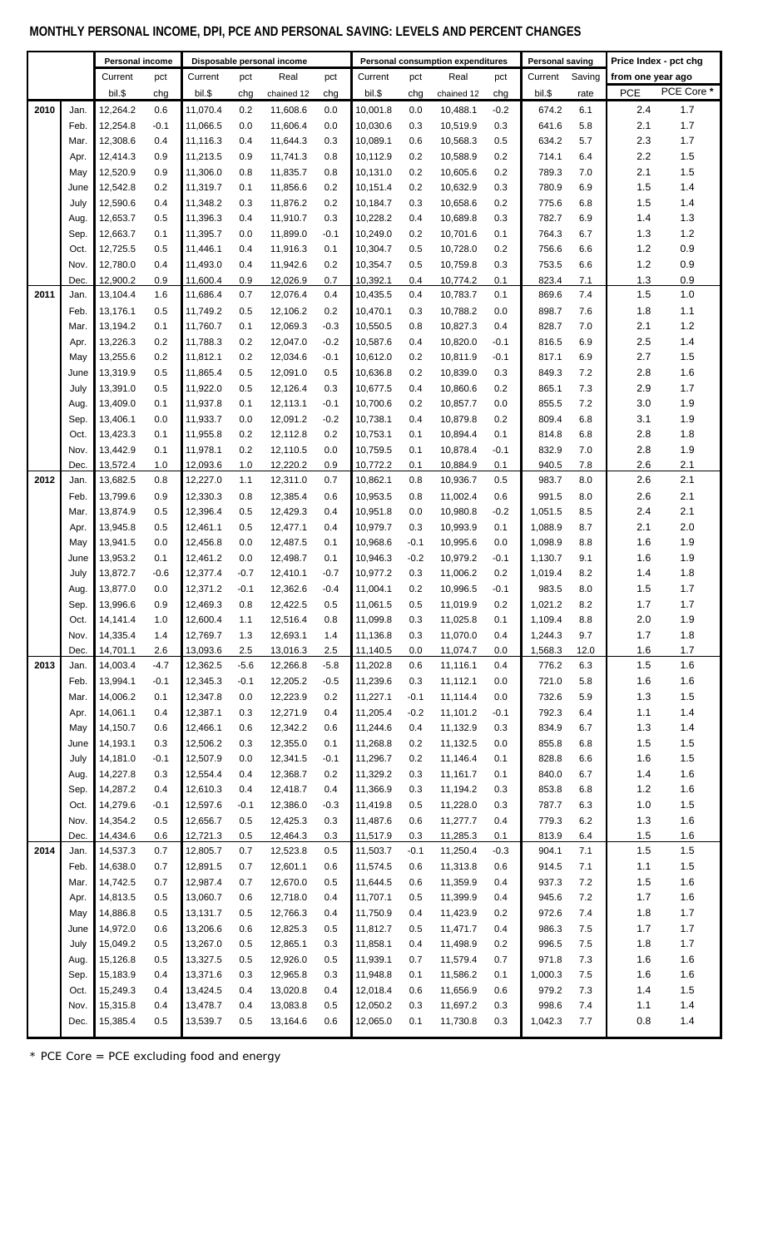## **MONTHLY PERSONAL INCOME, DPI, PCE AND PERSONAL SAVING: LEVELS AND PERCENT CHANGES**

|      |              | Personal income      |                  | Disposable personal income |                  |                      |                  | Personal consumption expenditures |            |                      |               | <b>Personal saving</b> |            | Price Index - pct chg |              |
|------|--------------|----------------------|------------------|----------------------------|------------------|----------------------|------------------|-----------------------------------|------------|----------------------|---------------|------------------------|------------|-----------------------|--------------|
|      |              | Current              | pct              | Current                    | pct              | Real                 | pct              | Current                           | pct        | Real                 | pct           | Current                | Saving     | from one year ago     |              |
|      |              | bil.\$               | chg              | bil.\$                     | chg              | chained 12           | chg              | bil.\$                            | chg        | chained 12           | chg           | bil.\$                 | rate       | <b>PCE</b>            | PCE Core*    |
| 2010 | Jan.         | 12,264.2             | 0.6              | 11,070.4                   | 0.2              | 11,608.6             | 0.0              | 10,001.8                          | 0.0        | 10,488.1             | $-0.2$        | 674.2                  | 6.1        | 2.4                   | 1.7          |
|      | Feb.         | 12,254.8             | $-0.1$           | 11,066.5                   | 0.0              | 11,606.4             | 0.0              | 10,030.6                          | 0.3        | 10,519.9             | 0.3           | 641.6                  | 5.8        | 2.1                   | 1.7          |
|      | Mar.         | 12,308.6             | 0.4              | 11,116.3                   | 0.4              | 11,644.3             | 0.3              | 10,089.1                          | 0.6        | 10,568.3             | 0.5           | 634.2                  | 5.7        | 2.3                   | 1.7          |
|      | Apr.         | 12,414.3             | 0.9              | 11,213.5                   | 0.9              | 11,741.3             | 0.8              | 10,112.9                          | 0.2        | 10,588.9             | 0.2           | 714.1                  | 6.4        | 2.2                   | 1.5          |
|      | May          | 12,520.9             | 0.9              | 11,306.0                   | 0.8              | 11,835.7             | 0.8              | 10,131.0                          | 0.2        | 10,605.6             | 0.2           | 789.3                  | 7.0        | 2.1                   | 1.5          |
|      | June         | 12,542.8             | 0.2              | 11,319.7                   | 0.1              | 11,856.6             | 0.2              | 10,151.4                          | 0.2        | 10,632.9             | 0.3           | 780.9                  | 6.9        | 1.5                   | 1.4          |
|      | July         | 12,590.6             | 0.4              | 11,348.2                   | 0.3              | 11,876.2             | 0.2              | 10,184.7                          | 0.3        | 10,658.6             | 0.2           | 775.6                  | 6.8        | 1.5                   | 1.4          |
|      | Aug.         | 12,653.7             | 0.5              | 11,396.3                   | 0.4              | 11,910.7             | 0.3              | 10,228.2                          | 0.4        | 10,689.8             | 0.3           | 782.7                  | 6.9        | 1.4                   | 1.3          |
|      | Sep.         | 12,663.7             | 0.1              | 11,395.7                   | 0.0              | 11,899.0             | $-0.1$           | 10,249.0                          | 0.2        | 10,701.6             | 0.1           | 764.3                  | 6.7        | 1.3                   | $1.2$        |
|      | Oct.         | 12,725.5             | 0.5              | 11,446.1                   | 0.4              | 11,916.3             | 0.1              | 10,304.7                          | 0.5        | 10,728.0             | 0.2           | 756.6                  | 6.6        | $1.2$                 | 0.9          |
|      | Nov.         | 12,780.0             | 0.4              | 11,493.0                   | 0.4              | 11,942.6             | 0.2              | 10,354.7                          | 0.5        | 10,759.8             | 0.3           | 753.5                  | 6.6        | $1.2$                 | 0.9          |
|      | Dec.         | 12,900.2             | 0.9              | 11,600.4                   | 0.9              | 12,026.9             | 0.7              | 10,392.1                          | 0.4        | 10,774.2             | 0.1           | 823.4                  | 7.1        | 1.3                   | 0.9          |
| 2011 | Jan.         | 13,104.4             | 1.6              | 11,686.4                   | 0.7              | 12,076.4             | 0.4              | 10,435.5                          | 0.4        | 10,783.7             | 0.1           | 869.6                  | 7.4        | 1.5                   | $1.0$        |
|      | Feb.         | 13,176.1             | 0.5              | 11,749.2                   | 0.5              | 12,106.2             | 0.2              | 10,470.1                          | 0.3        | 10,788.2             | 0.0           | 898.7                  | 7.6        | 1.8                   | 1.1          |
|      | Mar.         | 13,194.2             | 0.1              | 11.760.7                   | 0.1              | 12,069.3             | $-0.3$           | 10,550.5                          | 0.8        | 10,827.3             | 0.4           | 828.7                  | 7.0        | 2.1                   | 1.2<br>1.4   |
|      | Apr.         | 13,226.3             | 0.2              | 11,788.3                   | 0.2              | 12,047.0             | $-0.2$           | 10,587.6                          | 0.4        | 10,820.0             | $-0.1$        | 816.5                  | 6.9        | 2.5                   |              |
|      | May<br>June  | 13,255.6<br>13,319.9 | 0.2<br>0.5       | 11,812.1<br>11,865.4       | 0.2<br>0.5       | 12,034.6<br>12,091.0 | $-0.1$<br>0.5    | 10,612.0<br>10,636.8              | 0.2<br>0.2 | 10,811.9<br>10,839.0 | $-0.1$<br>0.3 | 817.1<br>849.3         | 6.9<br>7.2 | 2.7<br>2.8            | 1.5<br>1.6   |
|      | July         | 13,391.0             | 0.5              | 11,922.0                   | 0.5              | 12,126.4             | 0.3              | 10,677.5                          | 0.4        | 10,860.6             | 0.2           | 865.1                  | 7.3        | 2.9                   | 1.7          |
|      | Aug.         | 13,409.0             | 0.1              | 11,937.8                   | 0.1              | 12,113.1             | $-0.1$           | 10,700.6                          | 0.2        | 10,857.7             | 0.0           | 855.5                  | 7.2        | 3.0                   | 1.9          |
|      | Sep.         | 13,406.1             | 0.0              | 11,933.7                   | 0.0              | 12,091.2             | $-0.2$           | 10,738.1                          | 0.4        | 10,879.8             | 0.2           | 809.4                  | 6.8        | 3.1                   | 1.9          |
|      | Oct.         | 13,423.3             | 0.1              | 11,955.8                   | 0.2              | 12,112.8             | 0.2              | 10,753.1                          | 0.1        | 10,894.4             | 0.1           | 814.8                  | 6.8        | 2.8                   | 1.8          |
|      | Nov.         | 13,442.9             | 0.1              | 11,978.1                   | 0.2              | 12,110.5             | 0.0              | 10,759.5                          | 0.1        | 10,878.4             | $-0.1$        | 832.9                  | 7.0        | 2.8                   | 1.9          |
|      | Dec.         | 13,572.4             | 1.0              | 12,093.6                   | 1.0              | 12,220.2             | 0.9              | 10,772.2                          | 0.1        | 10,884.9             | 0.1           | 940.5                  | 7.8        | 2.6                   | 2.1          |
| 2012 | Jan.         | 13,682.5             | 0.8              | 12,227.0                   | 1.1              | 12,311.0             | 0.7              | 10,862.1                          | 0.8        | 10,936.7             | 0.5           | 983.7                  | 8.0        | 2.6                   | 2.1          |
|      | Feb.         | 13,799.6             | 0.9              | 12,330.3                   | 0.8              | 12,385.4             | 0.6              | 10,953.5                          | 0.8        | 11,002.4             | 0.6           | 991.5                  | 8.0        | 2.6                   | 2.1          |
|      | Mar.         | 13,874.9             | 0.5              | 12,396.4                   | 0.5              | 12,429.3             | 0.4              | 10,951.8                          | 0.0        | 10,980.8             | $-0.2$        | 1,051.5                | 8.5        | 2.4                   | 2.1          |
|      | Apr.         | 13,945.8             | 0.5              | 12,461.1                   | 0.5              | 12,477.1             | 0.4              | 10,979.7                          | 0.3        | 10,993.9             | 0.1           | 1.088.9                | 8.7        | 2.1                   | 2.0          |
|      | May          | 13,941.5             | 0.0              | 12,456.8                   | 0.0              | 12,487.5             | 0.1              | 10,968.6                          | $-0.1$     | 10,995.6             | 0.0           | 1,098.9                | 8.8        | 1.6                   | 1.9          |
|      | June         | 13,953.2             | 0.1              | 12,461.2                   | 0.0              | 12,498.7             | 0.1              | 10,946.3                          | $-0.2$     | 10,979.2             | $-0.1$        | 1,130.7                | 9.1        | 1.6                   | 1.9          |
|      | July         | 13,872.7             | $-0.6$           | 12,377.4                   | $-0.7$           | 12,410.1             | $-0.7$           | 10,977.2                          | 0.3        | 11,006.2             | 0.2           | 1,019.4                | 8.2        | 1.4                   | 1.8          |
|      | Aug.         | 13,877.0             | 0.0              | 12,371.2                   | $-0.1$           | 12,362.6             | $-0.4$           | 11,004.1                          | 0.2        | 10,996.5             | $-0.1$        | 983.5                  | 8.0        | 1.5                   | 1.7          |
|      | Sep.         | 13,996.6             | 0.9              | 12,469.3                   | 0.8              | 12,422.5             | 0.5              | 11,061.5                          | 0.5        | 11,019.9             | 0.2           | 1,021.2                | 8.2        | 1.7                   | 1.7          |
|      | Oct.         | 14,141.4             | 1.0              | 12,600.4                   | 1.1              | 12,516.4             | 0.8              | 11,099.8                          | 0.3        | 11,025.8             | 0.1           | 1,109.4                | 8.8        | 2.0                   | 1.9          |
|      | Nov.         | 14,335.4             | 1.4              | 12,769.7                   | 1.3              | 12,693.1             | 1.4              | 11,136.8                          | 0.3        | 11,070.0             | 0.4           | 1,244.3                | 9.7        | 1.7                   | 1.8          |
|      | Dec.         | 14,701.1<br>14,003.4 | 2.6              | 13,093.6                   | 2.5              | 13,016.3             | 2.5              | 11,140.5                          | 0.0        | 11,074.7<br>11,116.1 | 0.0           | 1,568.3<br>776.2       | 12.0       | 1.6                   | $1.7$<br>1.6 |
| 2013 | Jan.<br>Feb. | 13,994.1             | $-4.7$<br>$-0.1$ | 12,362.5<br>12,345.3       | $-5.6$<br>$-0.1$ | 12,266.8<br>12,205.2 | $-5.8$<br>$-0.5$ | 11,202.8<br>11,239.6              | 0.6<br>0.3 | 11,112.1             | 0.4<br>0.0    | 721.0                  | 6.3<br>5.8 | 1.5<br>1.6            | 1.6          |
|      | Mar.         | 14,006.2             | 0.1              | 12,347.8                   | 0.0              | 12,223.9             | 0.2              | 11,227.1                          | $-0.1$     | 11,114.4             | 0.0           | 732.6                  | 5.9        | 1.3                   | 1.5          |
|      | Apr.         | 14,061.1             | 0.4              | 12,387.1                   | 0.3              | 12,271.9             | 0.4              | 11,205.4                          | $-0.2$     | 11,101.2             | $-0.1$        | 792.3                  | 6.4        | 1.1                   | $1.4$        |
|      | May          | 14,150.7             | 0.6              | 12,466.1                   | 0.6              | 12,342.2             | 0.6              | 11,244.6                          | 0.4        | 11,132.9             | 0.3           | 834.9                  | 6.7        | 1.3                   | 1.4          |
|      | June         | 14,193.1             | 0.3              | 12,506.2                   | 0.3              | 12,355.0             | 0.1              | 11,268.8                          | 0.2        | 11,132.5             | 0.0           | 855.8                  | 6.8        | 1.5                   | 1.5          |
|      | July         | 14,181.0             | $-0.1$           | 12,507.9                   | 0.0              | 12,341.5             | $-0.1$           | 11,296.7                          | 0.2        | 11,146.4             | 0.1           | 828.8                  | 6.6        | 1.6                   | 1.5          |
|      | Aug.         | 14,227.8             | 0.3              | 12,554.4                   | 0.4              | 12,368.7             | 0.2              | 11,329.2                          | 0.3        | 11,161.7             | 0.1           | 840.0                  | 6.7        | 1.4                   | 1.6          |
|      | Sep.         | 14,287.2             | 0.4              | 12,610.3                   | 0.4              | 12,418.7             | 0.4              | 11,366.9                          | 0.3        | 11,194.2             | 0.3           | 853.8                  | 6.8        | $1.2$                 | 1.6          |
|      | Oct.         | 14,279.6             | $-0.1$           | 12,597.6                   | $-0.1$           | 12,386.0             | $-0.3$           | 11,419.8                          | 0.5        | 11,228.0             | 0.3           | 787.7                  | 6.3        | 1.0                   | $1.5$        |
|      | Nov.         | 14,354.2             | 0.5              | 12,656.7                   | 0.5              | 12,425.3             | 0.3              | 11,487.6                          | 0.6        | 11,277.7             | 0.4           | 779.3                  | 6.2        | 1.3                   | 1.6          |
|      | Dec.         | 14,434.6             | 0.6              | 12,721.3                   | 0.5              | 12,464.3             | 0.3              | 11,517.9                          | 0.3        | 11,285.3             | 0.1           | 813.9                  | 6.4        | 1.5                   | 1.6          |
| 2014 | Jan.         | 14,537.3             | 0.7              | 12,805.7                   | 0.7              | 12,523.8             | 0.5              | 11,503.7                          | $-0.1$     | 11,250.4             | $-0.3$        | 904.1                  | 7.1        | 1.5                   | 1.5          |
|      | Feb.         | 14,638.0             | 0.7              | 12,891.5                   | 0.7              | 12,601.1             | 0.6              | 11,574.5                          | 0.6        | 11,313.8             | 0.6           | 914.5                  | 7.1        | 1.1                   | 1.5          |
|      | Mar.         | 14,742.5             | 0.7              | 12,987.4                   | 0.7              | 12,670.0             | 0.5              | 11,644.5                          | 0.6        | 11,359.9             | 0.4           | 937.3                  | 7.2        | 1.5                   | 1.6          |
|      | Apr.         | 14,813.5             | 0.5              | 13,060.7                   | 0.6              | 12,718.0             | 0.4              | 11,707.1                          | 0.5        | 11,399.9             | 0.4           | 945.6                  | 7.2        | 1.7                   | 1.6          |
|      | May          | 14,886.8             | 0.5              | 13,131.7                   | 0.5              | 12,766.3             | 0.4              | 11,750.9                          | 0.4        | 11,423.9             | 0.2           | 972.6                  | 7.4        | 1.8                   | $1.7$        |
|      | June         | 14,972.0             | 0.6              | 13,206.6                   | 0.6              | 12,825.3             | 0.5              | 11,812.7                          | 0.5        | 11,471.7             | 0.4           | 986.3                  | $7.5\,$    | 1.7                   | $1.7$        |
|      | July         | 15,049.2             | 0.5              | 13,267.0                   | 0.5              | 12,865.1             | 0.3              | 11,858.1                          | 0.4        | 11,498.9             | 0.2           | 996.5                  | 7.5        | 1.8                   | $1.7$        |
|      | Aug.         | 15,126.8             | 0.5              | 13,327.5                   | 0.5              | 12,926.0             | 0.5              | 11,939.1                          | 0.7        | 11,579.4             | 0.7           | 971.8                  | 7.3        | 1.6                   | 1.6          |
|      | Sep.         | 15,183.9             | 0.4              | 13,371.6                   | 0.3              | 12,965.8             | 0.3              | 11,948.8                          | 0.1        | 11,586.2             | 0.1           | 1,000.3<br>979.2       | 7.5        | 1.6                   | 1.6<br>1.5   |
|      | Oct.<br>Nov. | 15,249.3<br>15,315.8 | 0.4<br>0.4       | 13,424.5<br>13,478.7       | 0.4<br>0.4       | 13,020.8<br>13,083.8 | 0.4<br>0.5       | 12,018.4<br>12,050.2              | 0.6<br>0.3 | 11,656.9<br>11,697.2 | 0.6<br>0.3    | 998.6                  | 7.3<br>7.4 | 1.4<br>1.1            | 1.4          |
|      | Dec.         | 15,385.4             | 0.5              | 13,539.7                   | 0.5              | 13,164.6             | 0.6              | 12,065.0                          | 0.1        | 11,730.8             | 0.3           | 1,042.3                | 7.7        | 0.8                   | 1.4          |
|      |              |                      |                  |                            |                  |                      |                  |                                   |            |                      |               |                        |            |                       |              |

\* PCE Core = PCE excluding food and energy